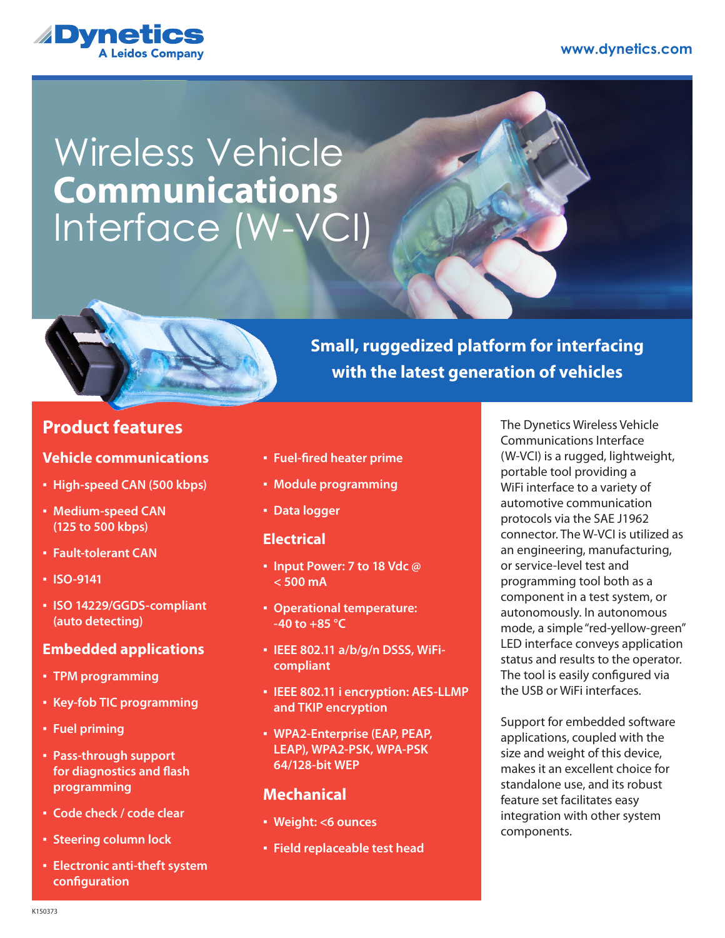#### **www.dynetics.com**



# Wireless Vehicle Interface (W-VCI) **Communications**



# **Product features**

#### **Vehicle communications**

- **High-speed CAN (500 kbps)**
- **Medium-speed CAN (125 to 500 kbps)**
- **Fault-tolerant CAN**
- **ISO-9141**
- **ISO 14229/GGDS-compliant (auto detecting)**

#### **Embedded applications**

- **TPM programming**
- **Key-fob TIC programming**
- **Fuel priming**
- **Pass-through support for diagnostics and flash programming**
- **Code check / code clear**
- **Steering column lock**
- **Electronic anti-theft system configuration**
- **Fuel-fired heater prime**
- **Module programming**
- **Data logger**

#### **Electrical**

- **Input Power: 7 to 18 Vdc @ < 500 mA**
- **Operational temperature: -40 to +85 °C**
- **IEEE 802.11 a/b/g/n DSSS, WiFicompliant**
- **IEEE 802.11 i encryption: AES-LLMP and TKIP encryption**
- **WPA2-Enterprise (EAP, PEAP, LEAP), WPA2-PSK, WPA-PSK 64/128-bit WEP**

#### **Mechanical**

- **Weight: <6 ounces**
- **Field replaceable test head**

The Dynetics Wireless Vehicle Communications Interface (W-VCI) is a rugged, lightweight, portable tool providing a WiFi interface to a variety of automotive communication protocols via the SAE J1962 connector. The W-VCI is utilized as an engineering, manufacturing, or service-level test and programming tool both as a component in a test system, or autonomously. In autonomous mode, a simple "red-yellow-green" LED interface conveys application status and results to the operator. The tool is easily configured via the USB or WiFi interfaces.

**Small, ruggedized platform for interfacing** 

**with the latest generation of vehicles**

Support for embedded software applications, coupled with the size and weight of this device, makes it an excellent choice for standalone use, and its robust feature set facilitates easy integration with other system components.